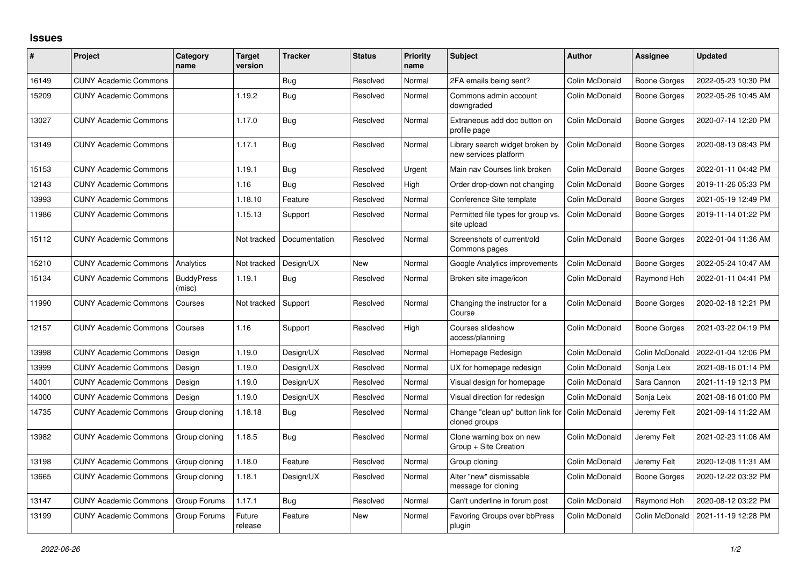## **Issues**

| ∦     | Project                      | Category<br>name            | <b>Target</b><br>version | <b>Tracker</b> | <b>Status</b> | <b>Priority</b><br>name | <b>Subject</b>                                           | <b>Author</b>  | <b>Assignee</b>     | <b>Updated</b>      |
|-------|------------------------------|-----------------------------|--------------------------|----------------|---------------|-------------------------|----------------------------------------------------------|----------------|---------------------|---------------------|
| 16149 | <b>CUNY Academic Commons</b> |                             |                          | Bug            | Resolved      | Normal                  | 2FA emails being sent?                                   | Colin McDonald | <b>Boone Gorges</b> | 2022-05-23 10:30 PM |
| 15209 | <b>CUNY Academic Commons</b> |                             | 1.19.2                   | <b>Bug</b>     | Resolved      | Normal                  | Commons admin account<br>downgraded                      | Colin McDonald | <b>Boone Gorges</b> | 2022-05-26 10:45 AM |
| 13027 | <b>CUNY Academic Commons</b> |                             | 1.17.0                   | Bug            | Resolved      | Normal                  | Extraneous add doc button on<br>profile page             | Colin McDonald | <b>Boone Gorges</b> | 2020-07-14 12:20 PM |
| 13149 | <b>CUNY Academic Commons</b> |                             | 1.17.1                   | <b>Bug</b>     | Resolved      | Normal                  | Library search widget broken by<br>new services platform | Colin McDonald | Boone Gorges        | 2020-08-13 08:43 PM |
| 15153 | <b>CUNY Academic Commons</b> |                             | 1.19.1                   | Bug            | Resolved      | Urgent                  | Main nav Courses link broken                             | Colin McDonald | <b>Boone Gorges</b> | 2022-01-11 04:42 PM |
| 12143 | <b>CUNY Academic Commons</b> |                             | 1.16                     | Bug            | Resolved      | <b>Hiah</b>             | Order drop-down not changing                             | Colin McDonald | Boone Gorges        | 2019-11-26 05:33 PM |
| 13993 | <b>CUNY Academic Commons</b> |                             | 1.18.10                  | Feature        | Resolved      | Normal                  | Conference Site template                                 | Colin McDonald | <b>Boone Gorges</b> | 2021-05-19 12:49 PM |
| 11986 | <b>CUNY Academic Commons</b> |                             | 1.15.13                  | Support        | Resolved      | Normal                  | Permitted file types for group vs.<br>site upload        | Colin McDonald | Boone Gorges        | 2019-11-14 01:22 PM |
| 15112 | <b>CUNY Academic Commons</b> |                             | Not tracked              | Documentation  | Resolved      | Normal                  | Screenshots of current/old<br>Commons pages              | Colin McDonald | <b>Boone Gorges</b> | 2022-01-04 11:36 AM |
| 15210 | <b>CUNY Academic Commons</b> | Analytics                   | Not tracked              | Design/UX      | <b>New</b>    | Normal                  | Google Analytics improvements                            | Colin McDonald | <b>Boone Gorges</b> | 2022-05-24 10:47 AM |
| 15134 | <b>CUNY Academic Commons</b> | <b>BuddyPress</b><br>(misc) | 1.19.1                   | Bug            | Resolved      | Normal                  | Broken site image/icon                                   | Colin McDonald | Raymond Hoh         | 2022-01-11 04:41 PM |
| 11990 | <b>CUNY Academic Commons</b> | Courses                     | Not tracked              | Support        | Resolved      | Normal                  | Changing the instructor for a<br>Course                  | Colin McDonald | <b>Boone Gorges</b> | 2020-02-18 12:21 PM |
| 12157 | <b>CUNY Academic Commons</b> | Courses                     | 1.16                     | Support        | Resolved      | High                    | Courses slideshow<br>access/planning                     | Colin McDonald | <b>Boone Gorges</b> | 2021-03-22 04:19 PM |
| 13998 | <b>CUNY Academic Commons</b> | Design                      | 1.19.0                   | Design/UX      | Resolved      | Normal                  | Homepage Redesign                                        | Colin McDonald | Colin McDonald      | 2022-01-04 12:06 PM |
| 13999 | <b>CUNY Academic Commons</b> | Design                      | 1.19.0                   | Design/UX      | Resolved      | Normal                  | UX for homepage redesign                                 | Colin McDonald | Sonja Leix          | 2021-08-16 01:14 PM |
| 14001 | <b>CUNY Academic Commons</b> | Design                      | 1.19.0                   | Design/UX      | Resolved      | Normal                  | Visual design for homepage                               | Colin McDonald | Sara Cannon         | 2021-11-19 12:13 PM |
| 14000 | <b>CUNY Academic Commons</b> | Design                      | 1.19.0                   | Design/UX      | Resolved      | Normal                  | Visual direction for redesign                            | Colin McDonald | Sonja Leix          | 2021-08-16 01:00 PM |
| 14735 | <b>CUNY Academic Commons</b> | Group cloning               | 1.18.18                  | <b>Bug</b>     | Resolved      | Normal                  | Change "clean up" button link for<br>cloned groups       | Colin McDonald | Jeremy Felt         | 2021-09-14 11:22 AM |
| 13982 | <b>CUNY Academic Commons</b> | Group cloning               | 1.18.5                   | Bug            | Resolved      | Normal                  | Clone warning box on new<br>Group + Site Creation        | Colin McDonald | Jeremy Felt         | 2021-02-23 11:06 AM |
| 13198 | <b>CUNY Academic Commons</b> | Group cloning               | 1.18.0                   | Feature        | Resolved      | Normal                  | Group cloning                                            | Colin McDonald | Jeremy Felt         | 2020-12-08 11:31 AM |
| 13665 | <b>CUNY Academic Commons</b> | Group cloning               | 1.18.1                   | Design/UX      | Resolved      | Normal                  | Alter "new" dismissable<br>message for cloning           | Colin McDonald | <b>Boone Gorges</b> | 2020-12-22 03:32 PM |
| 13147 | <b>CUNY Academic Commons</b> | Group Forums                | 1.17.1                   | Bug            | Resolved      | Normal                  | Can't underline in forum post                            | Colin McDonald | Raymond Hoh         | 2020-08-12 03:22 PM |
| 13199 | <b>CUNY Academic Commons</b> | Group Forums                | Future<br>release        | Feature        | <b>New</b>    | Normal                  | <b>Favoring Groups over bbPress</b><br>plugin            | Colin McDonald | Colin McDonald      | 2021-11-19 12:28 PM |